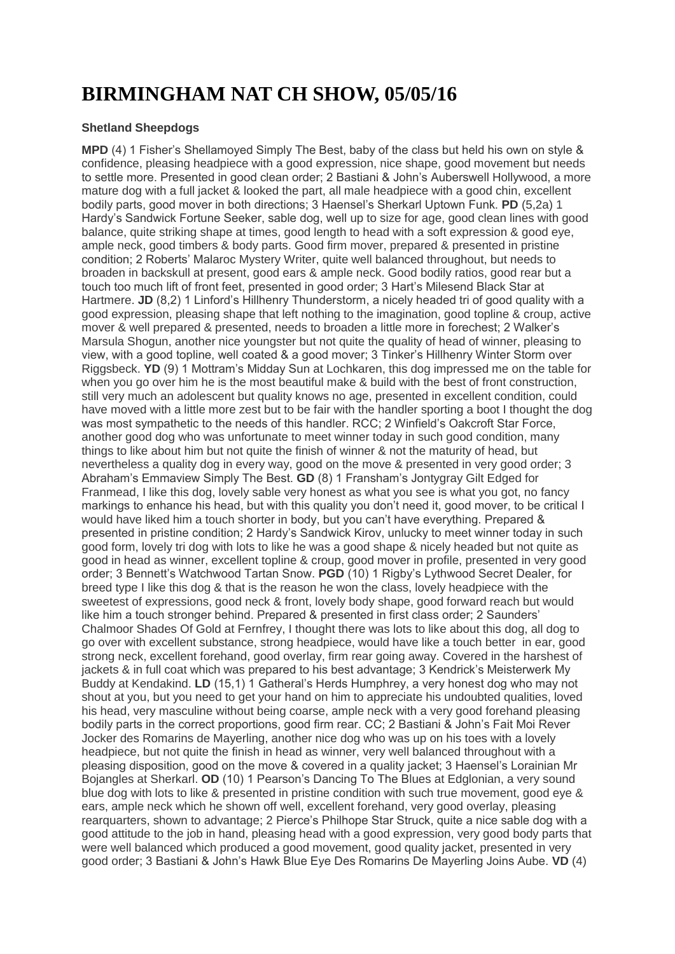## **BIRMINGHAM NAT CH SHOW, 05/05/16**

## **Shetland Sheepdogs**

**MPD** (4) 1 Fisher's Shellamoyed Simply The Best, baby of the class but held his own on style & confidence, pleasing headpiece with a good expression, nice shape, good movement but needs to settle more. Presented in good clean order; 2 Bastiani & John's Auberswell Hollywood, a more mature dog with a full jacket & looked the part, all male headpiece with a good chin, excellent bodily parts, good mover in both directions; 3 Haensel's Sherkarl Uptown Funk. **PD** (5,2a) 1 Hardy's Sandwick Fortune Seeker, sable dog, well up to size for age, good clean lines with good balance, quite striking shape at times, good length to head with a soft expression & good eye. ample neck, good timbers & body parts. Good firm mover, prepared & presented in pristine condition; 2 Roberts' Malaroc Mystery Writer, quite well balanced throughout, but needs to broaden in backskull at present, good ears & ample neck. Good bodily ratios, good rear but a touch too much lift of front feet, presented in good order; 3 Hart's Milesend Black Star at Hartmere. **JD** (8,2) 1 Linford's Hillhenry Thunderstorm, a nicely headed tri of good quality with a good expression, pleasing shape that left nothing to the imagination, good topline & croup, active mover & well prepared & presented, needs to broaden a little more in forechest; 2 Walker's Marsula Shogun, another nice youngster but not quite the quality of head of winner, pleasing to view, with a good topline, well coated & a good mover; 3 Tinker's Hillhenry Winter Storm over Riggsbeck. **YD** (9) 1 Mottram's Midday Sun at Lochkaren, this dog impressed me on the table for when you go over him he is the most beautiful make & build with the best of front construction, still very much an adolescent but quality knows no age, presented in excellent condition, could have moved with a little more zest but to be fair with the handler sporting a boot I thought the dog was most sympathetic to the needs of this handler. RCC; 2 Winfield's Oakcroft Star Force, another good dog who was unfortunate to meet winner today in such good condition, many things to like about him but not quite the finish of winner & not the maturity of head, but nevertheless a quality dog in every way, good on the move & presented in very good order; 3 Abraham's Emmaview Simply The Best. **GD** (8) 1 Fransham's Jontygray Gilt Edged for Franmead, I like this dog, lovely sable very honest as what you see is what you got, no fancy markings to enhance his head, but with this quality you don't need it, good mover, to be critical I would have liked him a touch shorter in body, but you can't have everything. Prepared & presented in pristine condition; 2 Hardy's Sandwick Kirov, unlucky to meet winner today in such good form, lovely tri dog with lots to like he was a good shape & nicely headed but not quite as good in head as winner, excellent topline & croup, good mover in profile, presented in very good order; 3 Bennett's Watchwood Tartan Snow. **PGD** (10) 1 Rigby's Lythwood Secret Dealer, for breed type I like this dog & that is the reason he won the class, lovely headpiece with the sweetest of expressions, good neck & front, lovely body shape, good forward reach but would like him a touch stronger behind. Prepared & presented in first class order; 2 Saunders' Chalmoor Shades Of Gold at Fernfrey, I thought there was lots to like about this dog, all dog to go over with excellent substance, strong headpiece, would have like a touch better in ear, good strong neck, excellent forehand, good overlay, firm rear going away. Covered in the harshest of jackets & in full coat which was prepared to his best advantage; 3 Kendrick's Meisterwerk My Buddy at Kendakind. **LD** (15,1) 1 Gatheral's Herds Humphrey, a very honest dog who may not shout at you, but you need to get your hand on him to appreciate his undoubted qualities, loved his head, very masculine without being coarse, ample neck with a very good forehand pleasing bodily parts in the correct proportions, good firm rear. CC; 2 Bastiani & John's Fait Moi Rever Jocker des Romarins de Mayerling, another nice dog who was up on his toes with a lovely headpiece, but not quite the finish in head as winner, very well balanced throughout with a pleasing disposition, good on the move & covered in a quality jacket; 3 Haensel's Lorainian Mr Bojangles at Sherkarl. **OD** (10) 1 Pearson's Dancing To The Blues at Edglonian, a very sound blue dog with lots to like & presented in pristine condition with such true movement, good eye & ears, ample neck which he shown off well, excellent forehand, very good overlay, pleasing rearquarters, shown to advantage; 2 Pierce's Philhope Star Struck, quite a nice sable dog with a good attitude to the job in hand, pleasing head with a good expression, very good body parts that were well balanced which produced a good movement, good quality jacket, presented in very good order; 3 Bastiani & John's Hawk Blue Eye Des Romarins De Mayerling Joins Aube. **VD** (4)